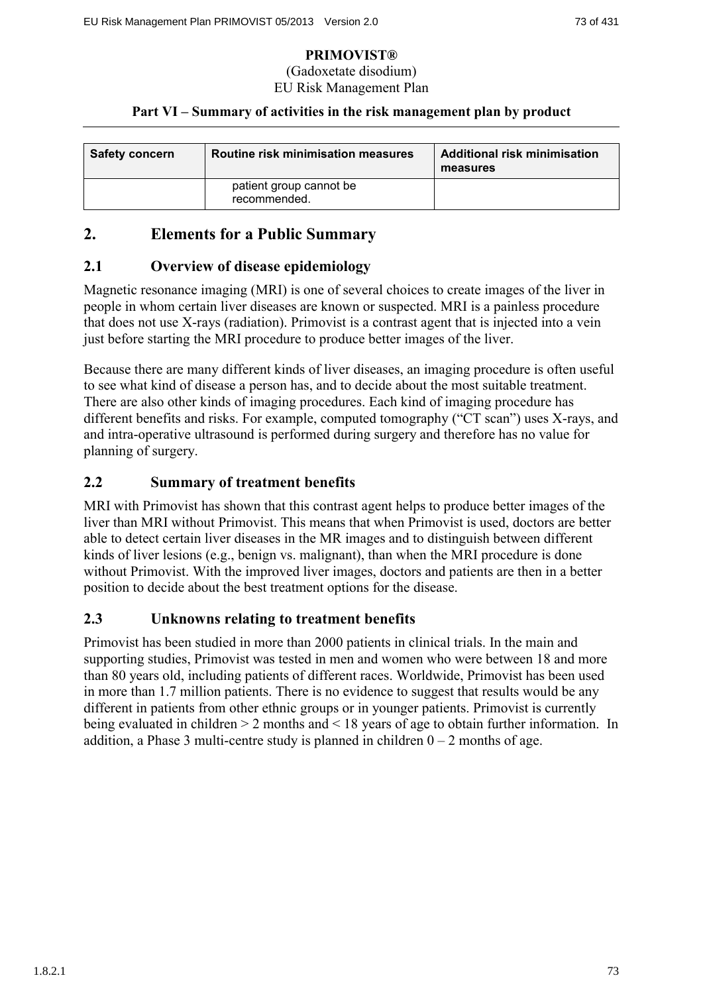#### (Gadoxetate disodium) EU Risk Management Plan

### **Part VI – Summary of activities in the risk management plan by product**

| <b>Safety concern</b> | Routine risk minimisation measures      | <b>Additional risk minimisation</b><br>measures |
|-----------------------|-----------------------------------------|-------------------------------------------------|
|                       | patient group cannot be<br>recommended. |                                                 |

# **2. Elements for a Public Summary**

### **2.1 Overview of disease epidemiology**

Magnetic resonance imaging (MRI) is one of several choices to create images of the liver in people in whom certain liver diseases are known or suspected. MRI is a painless procedure that does not use X-rays (radiation). Primovist is a contrast agent that is injected into a vein just before starting the MRI procedure to produce better images of the liver.

Because there are many different kinds of liver diseases, an imaging procedure is often useful to see what kind of disease a person has, and to decide about the most suitable treatment. There are also other kinds of imaging procedures. Each kind of imaging procedure has different benefits and risks. For example, computed tomography ("CT scan") uses X-rays, and and intra-operative ultrasound is performed during surgery and therefore has no value for planning of surgery.

### **2.2 Summary of treatment benefits**

MRI with Primovist has shown that this contrast agent helps to produce better images of the liver than MRI without Primovist. This means that when Primovist is used, doctors are better able to detect certain liver diseases in the MR images and to distinguish between different kinds of liver lesions (e.g., benign vs. malignant), than when the MRI procedure is done without Primovist. With the improved liver images, doctors and patients are then in a better position to decide about the best treatment options for the disease.

### **2.3 Unknowns relating to treatment benefits**

Primovist has been studied in more than 2000 patients in clinical trials. In the main and supporting studies, Primovist was tested in men and women who were between 18 and more than 80 years old, including patients of different races. Worldwide, Primovist has been used in more than 1.7 million patients. There is no evidence to suggest that results would be any different in patients from other ethnic groups or in younger patients. Primovist is currently being evaluated in children > 2 months and < 18 years of age to obtain further information. In addition, a Phase 3 multi-centre study is planned in children  $0 - 2$  months of age.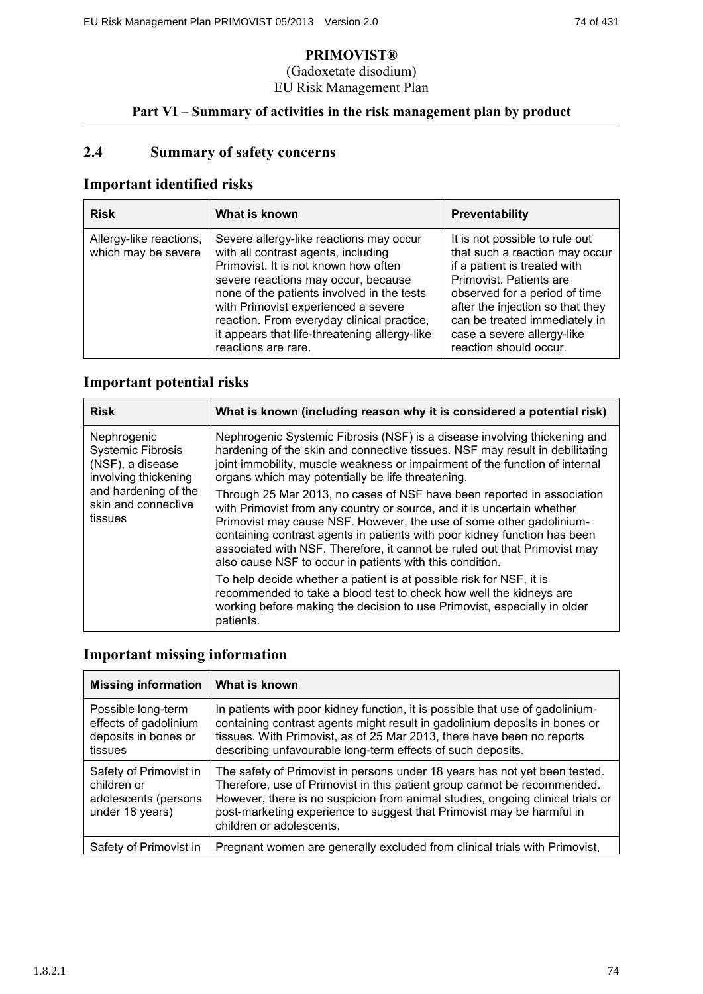### (Gadoxetate disodium) EU Risk Management Plan

## **Part VI – Summary of activities in the risk management plan by product**

# **2.4 Summary of safety concerns**

# **Important identified risks**

| <b>Risk</b>                                    | What is known                                                                                                                                                                                                                                                                                                                                                            | <b>Preventability</b>                                                                                                                                                                                                                                                                     |
|------------------------------------------------|--------------------------------------------------------------------------------------------------------------------------------------------------------------------------------------------------------------------------------------------------------------------------------------------------------------------------------------------------------------------------|-------------------------------------------------------------------------------------------------------------------------------------------------------------------------------------------------------------------------------------------------------------------------------------------|
| Allergy-like reactions,<br>which may be severe | Severe allergy-like reactions may occur<br>with all contrast agents, including<br>Primovist. It is not known how often<br>severe reactions may occur, because<br>none of the patients involved in the tests<br>with Primovist experienced a severe<br>reaction. From everyday clinical practice,<br>it appears that life-threatening allergy-like<br>reactions are rare. | It is not possible to rule out<br>that such a reaction may occur<br>if a patient is treated with<br>Primovist, Patients are<br>observed for a period of time<br>after the injection so that they<br>can be treated immediately in<br>case a severe allergy-like<br>reaction should occur. |

### **Important potential risks**

| <b>Risk</b>                                                                                                                                   | What is known (including reason why it is considered a potential risk)                                                                                                                                                                                                                                                                                                                                                                        |
|-----------------------------------------------------------------------------------------------------------------------------------------------|-----------------------------------------------------------------------------------------------------------------------------------------------------------------------------------------------------------------------------------------------------------------------------------------------------------------------------------------------------------------------------------------------------------------------------------------------|
| Nephrogenic<br><b>Systemic Fibrosis</b><br>(NSF), a disease<br>involving thickening<br>and hardening of the<br>skin and connective<br>tissues | Nephrogenic Systemic Fibrosis (NSF) is a disease involving thickening and<br>hardening of the skin and connective tissues. NSF may result in debilitating<br>joint immobility, muscle weakness or impairment of the function of internal<br>organs which may potentially be life threatening.                                                                                                                                                 |
|                                                                                                                                               | Through 25 Mar 2013, no cases of NSF have been reported in association<br>with Primovist from any country or source, and it is uncertain whether<br>Primovist may cause NSF. However, the use of some other gadolinium-<br>containing contrast agents in patients with poor kidney function has been<br>associated with NSF. Therefore, it cannot be ruled out that Primovist may<br>also cause NSF to occur in patients with this condition. |
|                                                                                                                                               | To help decide whether a patient is at possible risk for NSF, it is<br>recommended to take a blood test to check how well the kidneys are<br>working before making the decision to use Primovist, especially in older<br>patients.                                                                                                                                                                                                            |

# **Important missing information**

| <b>Missing information</b>                                                       | What is known                                                                                                                                                                                                                                                                                                                                 |
|----------------------------------------------------------------------------------|-----------------------------------------------------------------------------------------------------------------------------------------------------------------------------------------------------------------------------------------------------------------------------------------------------------------------------------------------|
| Possible long-term<br>effects of gadolinium<br>deposits in bones or<br>tissues   | In patients with poor kidney function, it is possible that use of gadolinium-<br>containing contrast agents might result in gadolinium deposits in bones or<br>tissues. With Primovist, as of 25 Mar 2013, there have been no reports<br>describing unfavourable long-term effects of such deposits.                                          |
| Safety of Primovist in<br>children or<br>adolescents (persons<br>under 18 years) | The safety of Primovist in persons under 18 years has not yet been tested.<br>Therefore, use of Primovist in this patient group cannot be recommended.<br>However, there is no suspicion from animal studies, ongoing clinical trials or<br>post-marketing experience to suggest that Primovist may be harmful in<br>children or adolescents. |
| Safety of Primovist in                                                           | Pregnant women are generally excluded from clinical trials with Primovist,                                                                                                                                                                                                                                                                    |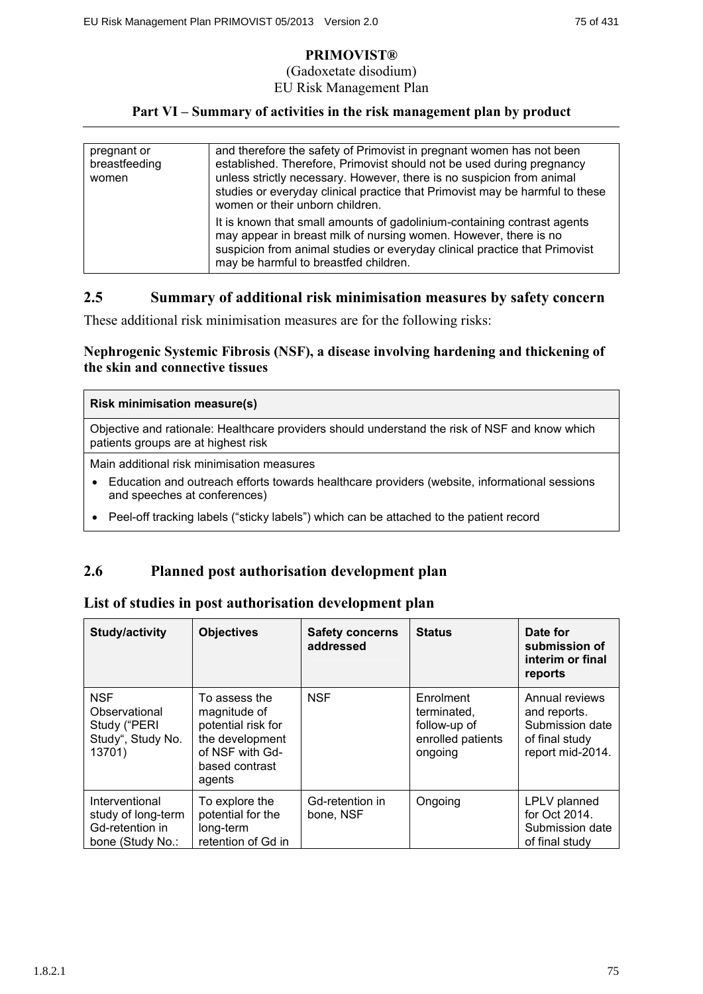#### (Gadoxetate disodium) EU Risk Management Plan

### **Part VI – Summary of activities in the risk management plan by product**

| pregnant or<br>breastfeeding<br>women | and therefore the safety of Primovist in pregnant women has not been<br>established. Therefore, Primovist should not be used during pregnancy<br>unless strictly necessary. However, there is no suspicion from animal<br>studies or everyday clinical practice that Primovist may be harmful to these<br>women or their unborn children. |
|---------------------------------------|-------------------------------------------------------------------------------------------------------------------------------------------------------------------------------------------------------------------------------------------------------------------------------------------------------------------------------------------|
|                                       | It is known that small amounts of gadolinium-containing contrast agents<br>may appear in breast milk of nursing women. However, there is no<br>suspicion from animal studies or everyday clinical practice that Primovist<br>may be harmful to breastfed children.                                                                        |

### **2.5 Summary of additional risk minimisation measures by safety concern**

These additional risk minimisation measures are for the following risks:

### **Nephrogenic Systemic Fibrosis (NSF), a disease involving hardening and thickening of the skin and connective tissues**

#### **Risk minimisation measure(s)**

Objective and rationale: Healthcare providers should understand the risk of NSF and know which patients groups are at highest risk

Main additional risk minimisation measures

- Education and outreach efforts towards healthcare providers (website, informational sessions and speeches at conferences)
- Peel-off tracking labels ("sticky labels") which can be attached to the patient record

### **2.6 Planned post authorisation development plan**

#### **List of studies in post authorisation development plan**

| Study/activity                                                              | <b>Objectives</b>                                                                                                     | <b>Safety concerns</b><br>addressed | <b>Status</b>                                                            | Date for<br>submission of<br>interim or final<br>reports                                |
|-----------------------------------------------------------------------------|-----------------------------------------------------------------------------------------------------------------------|-------------------------------------|--------------------------------------------------------------------------|-----------------------------------------------------------------------------------------|
| <b>NSF</b><br>Observational<br>Study ("PERI<br>Study", Study No.<br>13701)  | To assess the<br>magnitude of<br>potential risk for<br>the development<br>of NSF with Gd-<br>based contrast<br>agents | <b>NSF</b>                          | Enrolment<br>terminated,<br>follow-up of<br>enrolled patients<br>ongoing | Annual reviews<br>and reports.<br>Submission date<br>of final study<br>report mid-2014. |
| Interventional<br>study of long-term<br>Gd-retention in<br>bone (Study No.: | To explore the<br>potential for the<br>long-term<br>retention of Gd in                                                | Gd-retention in<br>bone, NSF        | Ongoing                                                                  | LPLV planned<br>for Oct 2014.<br>Submission date<br>of final study                      |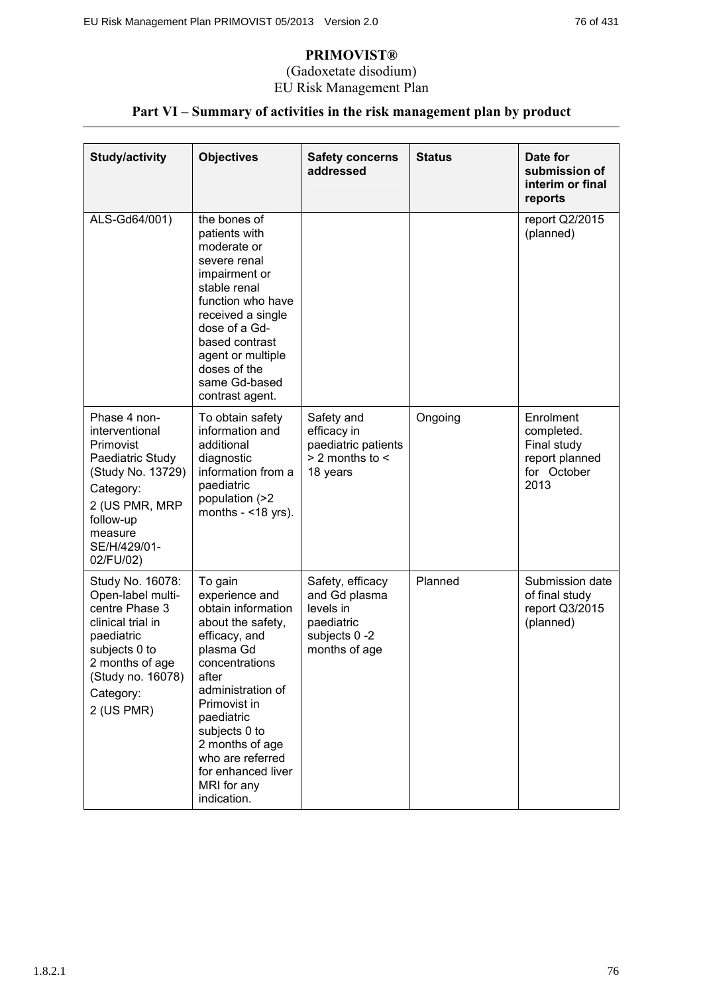### (Gadoxetate disodium) EU Risk Management Plan

# **Part VI – Summary of activities in the risk management plan by product**

| <b>Study/activity</b>                                                                                                                                                          | <b>Objectives</b>                                                                                                                                                                                                                                                                            | <b>Safety concerns</b><br>addressed                                                            | <b>Status</b> | Date for<br>submission of<br>interim or final<br>reports                        |
|--------------------------------------------------------------------------------------------------------------------------------------------------------------------------------|----------------------------------------------------------------------------------------------------------------------------------------------------------------------------------------------------------------------------------------------------------------------------------------------|------------------------------------------------------------------------------------------------|---------------|---------------------------------------------------------------------------------|
| ALS-Gd64/001)                                                                                                                                                                  | the bones of<br>patients with<br>moderate or<br>severe renal<br>impairment or<br>stable renal<br>function who have<br>received a single<br>dose of a Gd-<br>based contrast<br>agent or multiple<br>doses of the<br>same Gd-based<br>contrast agent.                                          |                                                                                                |               | report Q2/2015<br>(planned)                                                     |
| Phase 4 non-<br>interventional<br>Primovist<br>Paediatric Study<br>(Study No. 13729)<br>Category:<br>2 (US PMR, MRP<br>follow-up<br>measure<br>SE/H/429/01-<br>02/FU/02)       | To obtain safety<br>information and<br>additional<br>diagnostic<br>information from a<br>paediatric<br>population (>2<br>months $-$ <18 yrs).                                                                                                                                                | Safety and<br>efficacy in<br>paediatric patients<br>$> 2$ months to $<$<br>18 years            | Ongoing       | Enrolment<br>completed.<br>Final study<br>report planned<br>for October<br>2013 |
| Study No. 16078:<br>Open-label multi-<br>centre Phase 3<br>clinical trial in<br>paediatric<br>subjects 0 to<br>2 months of age<br>(Study no. 16078)<br>Category:<br>2 (US PMR) | To gain<br>experience and<br>obtain information<br>about the safety,<br>efficacy, and<br>plasma Gd<br>concentrations<br>after<br>administration of<br>Primovist in<br>paediatric<br>subjects 0 to<br>2 months of age<br>who are referred<br>for enhanced liver<br>MRI for any<br>indication. | Safety, efficacy<br>and Gd plasma<br>levels in<br>paediatric<br>subjects 0 -2<br>months of age | Planned       | Submission date<br>of final study<br>report Q3/2015<br>(planned)                |